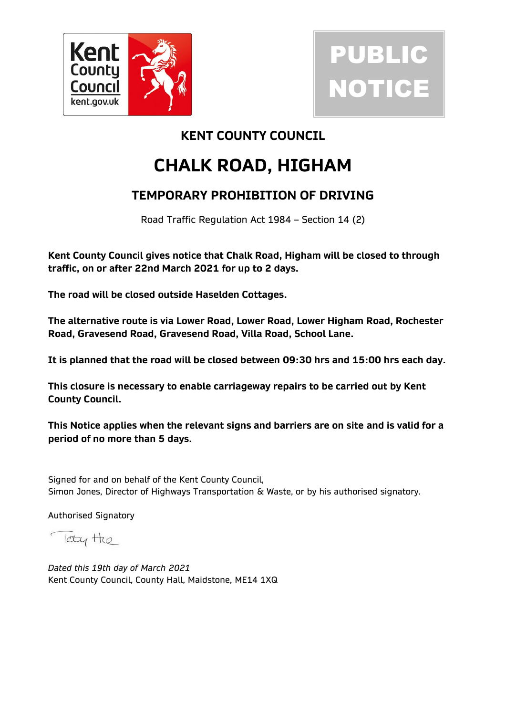



## **KENT COUNTY COUNCIL**

# **CHALK ROAD, HIGHAM**

# **TEMPORARY PROHIBITION OF DRIVING**

Road Traffic Regulation Act 1984 – Section 14 (2)

**Kent County Council gives notice that Chalk Road, Higham will be closed to through traffic, on or after 22nd March 2021 for up to 2 days.**

**The road will be closed outside Haselden Cottages.**

**The alternative route is via Lower Road, Lower Road, Lower Higham Road, Rochester Road, Gravesend Road, Gravesend Road, Villa Road, School Lane.**

**It is planned that the road will be closed between 09:30 hrs and 15:00 hrs each day.**

**This closure is necessary to enable carriageway repairs to be carried out by Kent County Council.**

**This Notice applies when the relevant signs and barriers are on site and is valid for a period of no more than 5 days.**

Signed for and on behalf of the Kent County Council, Simon Jones, Director of Highways Transportation & Waste, or by his authorised signatory.

Authorised Signatory

look the

*Dated this 19th day of March 2021* Kent County Council, County Hall, Maidstone, ME14 1XQ